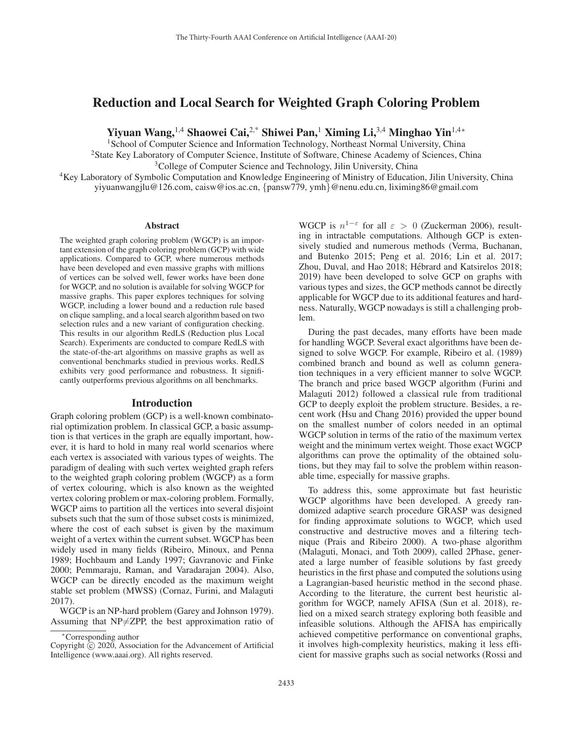# Reduction and Local Search for Weighted Graph Coloring Problem

Yiyuan Wang,1,4 Shaowei Cai,2,\* Shiwei Pan,<sup>1</sup> Ximing Li,3,4 Minghao Yin1,4<sup>∗</sup>

<sup>1</sup>School of Computer Science and Information Technology, Northeast Normal University, China

2State Key Laboratory of Computer Science, Institute of Software, Chinese Academy of Sciences, China

<sup>3</sup>College of Computer Science and Technology, Jilin University, China

<sup>4</sup>Key Laboratory of Symbolic Computation and Knowledge Engineering of Ministry of Education, Jilin University, China yiyuanwangjlu@126.com, caisw@ios.ac.cn, {pansw779, ymh}@nenu.edu.cn, liximing86@gmail.com

#### Abstract

The weighted graph coloring problem (WGCP) is an important extension of the graph coloring problem (GCP) with wide applications. Compared to GCP, where numerous methods have been developed and even massive graphs with millions of vertices can be solved well, fewer works have been done for WGCP, and no solution is available for solving WGCP for massive graphs. This paper explores techniques for solving WGCP, including a lower bound and a reduction rule based on clique sampling, and a local search algorithm based on two selection rules and a new variant of configuration checking. This results in our algorithm RedLS (Reduction plus Local Search). Experiments are conducted to compare RedLS with the state-of-the-art algorithms on massive graphs as well as conventional benchmarks studied in previous works. RedLS exhibits very good performance and robustness. It significantly outperforms previous algorithms on all benchmarks.

### Introduction

Graph coloring problem (GCP) is a well-known combinatorial optimization problem. In classical GCP, a basic assumption is that vertices in the graph are equally important, however, it is hard to hold in many real world scenarios where each vertex is associated with various types of weights. The paradigm of dealing with such vertex weighted graph refers to the weighted graph coloring problem (WGCP) as a form of vertex colouring, which is also known as the weighted vertex coloring problem or max-coloring problem. Formally, WGCP aims to partition all the vertices into several disjoint subsets such that the sum of those subset costs is minimized, where the cost of each subset is given by the maximum weight of a vertex within the current subset. WGCP has been widely used in many fields (Ribeiro, Minoux, and Penna 1989; Hochbaum and Landy 1997; Gavranovic and Finke 2000; Pemmaraju, Raman, and Varadarajan 2004). Also, WGCP can be directly encoded as the maximum weight stable set problem (MWSS) (Cornaz, Furini, and Malaguti 2017).

WGCP is an NP-hard problem (Garey and Johnson 1979). Assuming that  $NP \neq ZPP$ , the best approximation ratio of

WGCP is  $n^{1-\epsilon}$  for all  $\varepsilon > 0$  (Zuckerman 2006), resulting in intractable computations. Although GCP is extensively studied and numerous methods (Verma, Buchanan, and Butenko 2015; Peng et al. 2016; Lin et al. 2017; Zhou, Duval, and Hao 2018; Hébrard and Katsirelos 2018; 2019) have been developed to solve GCP on graphs with various types and sizes, the GCP methods cannot be directly applicable for WGCP due to its additional features and hardness. Naturally, WGCP nowadays is still a challenging problem.

During the past decades, many efforts have been made for handling WGCP. Several exact algorithms have been designed to solve WGCP. For example, Ribeiro et al. (1989) combined branch and bound as well as column generation techniques in a very efficient manner to solve WGCP. The branch and price based WGCP algorithm (Furini and Malaguti 2012) followed a classical rule from traditional GCP to deeply exploit the problem structure. Besides, a recent work (Hsu and Chang 2016) provided the upper bound on the smallest number of colors needed in an optimal WGCP solution in terms of the ratio of the maximum vertex weight and the minimum vertex weight. Those exact WGCP algorithms can prove the optimality of the obtained solutions, but they may fail to solve the problem within reasonable time, especially for massive graphs.

To address this, some approximate but fast heuristic WGCP algorithms have been developed. A greedy randomized adaptive search procedure GRASP was designed for finding approximate solutions to WGCP, which used constructive and destructive moves and a filtering technique (Prais and Ribeiro 2000). A two-phase algorithm (Malaguti, Monaci, and Toth 2009), called 2Phase, generated a large number of feasible solutions by fast greedy heuristics in the first phase and computed the solutions using a Lagrangian-based heuristic method in the second phase. According to the literature, the current best heuristic algorithm for WGCP, namely AFISA (Sun et al. 2018), relied on a mixed search strategy exploring both feasible and infeasible solutions. Although the AFISA has empirically achieved competitive performance on conventional graphs, it involves high-complexity heuristics, making it less efficient for massive graphs such as social networks (Rossi and

<sup>∗</sup>Corresponding author

Copyright  $\odot$  2020, Association for the Advancement of Artificial Intelligence (www.aaai.org). All rights reserved.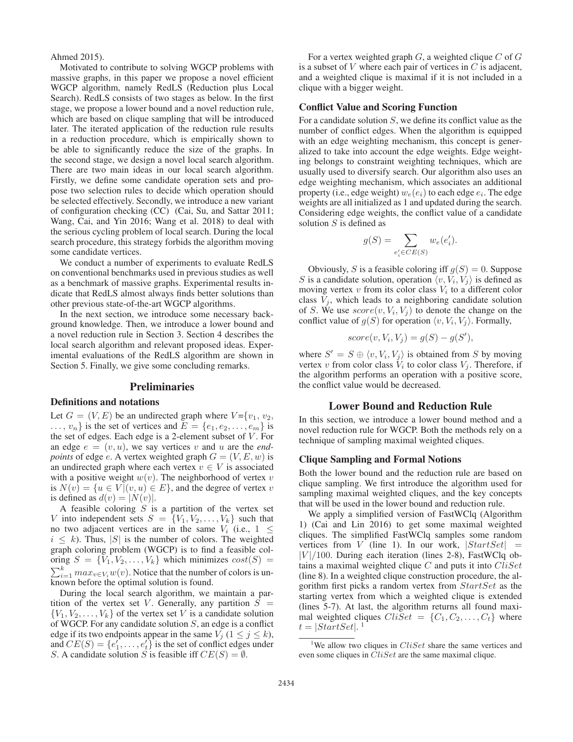Ahmed 2015).

Motivated to contribute to solving WGCP problems with massive graphs, in this paper we propose a novel efficient WGCP algorithm, namely RedLS (Reduction plus Local Search). RedLS consists of two stages as below. In the first stage, we propose a lower bound and a novel reduction rule, which are based on clique sampling that will be introduced later. The iterated application of the reduction rule results in a reduction procedure, which is empirically shown to be able to significantly reduce the size of the graphs. In the second stage, we design a novel local search algorithm. There are two main ideas in our local search algorithm. Firstly, we define some candidate operation sets and propose two selection rules to decide which operation should be selected effectively. Secondly, we introduce a new variant of configuration checking (CC) (Cai, Su, and Sattar 2011; Wang, Cai, and Yin 2016; Wang et al. 2018) to deal with the serious cycling problem of local search. During the local search procedure, this strategy forbids the algorithm moving some candidate vertices.

We conduct a number of experiments to evaluate RedLS on conventional benchmarks used in previous studies as well as a benchmark of massive graphs. Experimental results indicate that RedLS almost always finds better solutions than other previous state-of-the-art WGCP algorithms.

In the next section, we introduce some necessary background knowledge. Then, we introduce a lower bound and a novel reduction rule in Section 3. Section 4 describes the local search algorithm and relevant proposed ideas. Experimental evaluations of the RedLS algorithm are shown in Section 5. Finally, we give some concluding remarks.

### Preliminaries

### Definitions and notations

Let  $G = (V, E)$  be an undirected graph where  $V = \{v_1, v_2,$  $..., v_n$  is the set of vertices and  $E = \{e_1, e_2, ..., e_m\}$  is the set of edges. Each edge is a 2-element subset of  $V$ . For an edge  $e = (v, u)$ , we say vertices v and u are the *endpoints* of edge e. A vertex weighted graph  $G = (V, E, w)$  is an undirected graph where each vertex  $v \in V$  is associated with a positive weight  $w(v)$ . The neighborhood of vertex v is  $N(v) = \{u \in V | (v, u) \in E\}$ , and the degree of vertex v is defined as  $d(v) = |N(v)|$ .

A feasible coloring  $S$  is a partition of the vertex set V into independent sets  $S = \{V_1, V_2, \ldots, V_k\}$  such that no two adjacent vertices are in the same  $V_i$  (i.e.,  $1 \leq$  $i \leq k$ ). Thus, |S| is the number of colors. The weighted graph coloring problem (WGCP) is to find a feasible coloring  $S = \{V_1, V_2, \ldots, V_k\}$  which minimizes  $cost(S)$  $\sum_{i=1}^{k} max_{v \in V_i} w(v)$ . Notice that the number of colors is unknown before the optimal solution is found.

During the local search algorithm, we maintain a partition of the vertex set V. Generally, any partition  $S =$  ${V_1, V_2, \ldots, V_k}$  of the vertex set V is a candidate solution of WGCP. For any candidate solution  $S$ , an edge is a conflict edge if its two endpoints appear in the same  $V_j$  ( $1 \le j \le k$ ), and  $CE(S) = \{e'_1, \ldots, e'_t\}$  is the set of conflict edges under S. A candidate solution S is feasible iff  $CE(S) = \emptyset$ .

For a vertex weighted graph  $G$ , a weighted clique  $C$  of  $G$ is a subset of  $V$  where each pair of vertices in  $C$  is adjacent, and a weighted clique is maximal if it is not included in a clique with a bigger weight.

## Conflict Value and Scoring Function

For a candidate solution S, we define its conflict value as the number of conflict edges. When the algorithm is equipped with an edge weighting mechanism, this concept is generalized to take into account the edge weights. Edge weighting belongs to constraint weighting techniques, which are usually used to diversify search. Our algorithm also uses an edge weighting mechanism, which associates an additional property (i.e., edge weight)  $w_e(e_i)$  to each edge  $e_i$ . The edge weights are all initialized as 1 and updated during the search. Considering edge weights, the conflict value of a candidate solution  $S$  is defined as

$$
g(S) = \sum_{e'_i \in CE(S)} w_e(e'_i).
$$

Obviously, S is a feasible coloring iff  $g(S)=0$ . Suppose S is a candidate solution, operation  $\langle v, V_i, V_j \rangle$  is defined as moving vertex  $v$  from its color class  $V_i$  to a different color class  $V_i$ , which leads to a neighboring candidate solution of S. We use  $score(v, V_i, V_j)$  to denote the change on the conflict value of  $q(S)$  for operation  $\langle v, V_i, V_j \rangle$ . Formally,

$$
score(v, V_i, V_j) = g(S) - g(S'),
$$

where  $S' = S \oplus \langle v, V_i, V_j \rangle$  is obtained from S by moving vertex v from color class  $V_i$  to color class  $V_i$ . Therefore, if the algorithm performs an operation with a positive score, the conflict value would be decreased.

## Lower Bound and Reduction Rule

In this section, we introduce a lower bound method and a novel reduction rule for WGCP. Both the methods rely on a technique of sampling maximal weighted cliques.

#### Clique Sampling and Formal Notions

Both the lower bound and the reduction rule are based on clique sampling. We first introduce the algorithm used for sampling maximal weighted cliques, and the key concepts that will be used in the lower bound and reduction rule.

We apply a simplified version of FastWClq (Algorithm 1) (Cai and Lin 2016) to get some maximal weighted cliques. The simplified FastWClq samples some random vertices from V (line 1). In our work,  $|StartSet|$  =  $|V|/100$ . During each iteration (lines 2-8), FastWClq obtains a maximal weighted clique  $C$  and puts it into  $CliSet$ (line 8). In a weighted clique construction procedure, the algorithm first picks a random vertex from StartSet as the starting vertex from which a weighted clique is extended (lines 5-7). At last, the algorithm returns all found maximal weighted cliques  $CliSet = \{C_1, C_2, \ldots, C_t\}$  where  $t = |StartSet|$ .<sup>1</sup>

<sup>&</sup>lt;sup>1</sup>We allow two cliques in  $CliSet$  share the same vertices and even some cliques in *CliSet* are the same maximal clique.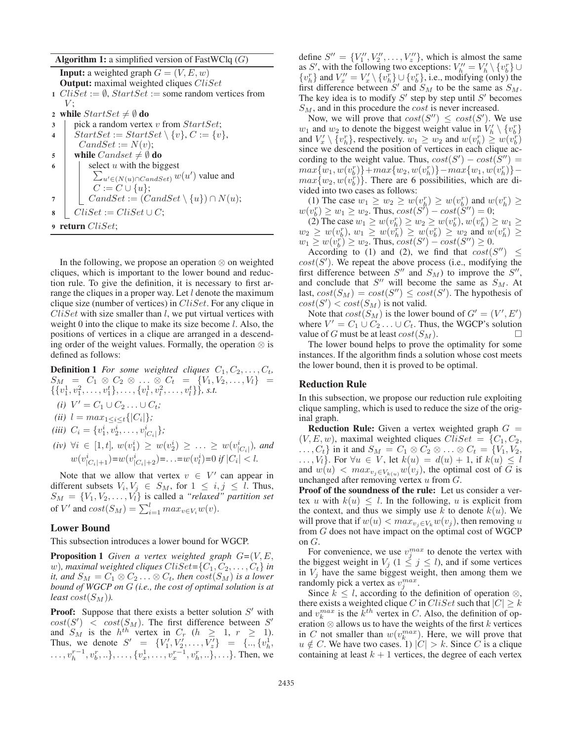**Algorithm 1:** a simplified version of FastWClq  $(G)$ 

**Input:** a weighted graph  $G = (V, E, w)$ **Output:** maximal weighted cliques  $CliSet$ 1  $CliSet := \emptyset$ ,  $StartSet :=$  some random vertices from  $V;$ 2 while  $StartSet \neq \emptyset$  do  $\text{3}$  | pick a random vertex v from  $StartSet;$ 4  $\vert$  StartSet := StartSet \{v}, C := {v},  $CandSet := N(v);$ 5 while  $Candset \neq \emptyset$  do  $\mathfrak{g}$  | select u with the biggest  $\sum_{u' \in (N(u) \cap C \text{ and } Set)} w(u')$  value and  $C := C \cup \{u\};$ 7 |  $\bigcap$  CandSet :=  $(CandSet \setminus \{u\}) \cap N(u);$  $\text{8}$  | CliSet := CliSet ∪ C; <sup>9</sup> return CliSet;

In the following, we propose an operation ⊗ on weighted cliques, which is important to the lower bound and reduction rule. To give the definition, it is necessary to first arrange the cliques in a proper way. Let  $l$  denote the maximum clique size (number of vertices) in  $CliSet$ . For any clique in  $CliSet$  with size smaller than  $l$ , we put virtual vertices with weight 0 into the clique to make its size become  $l$ . Also, the positions of vertices in a clique are arranged in a descending order of the weight values. Formally, the operation ⊗ is defined as follows:

**Definition 1** *For some weighted cliques*  $C_1, C_2, \ldots, C_t$ *,*  $S_M = C_1 \otimes C_2 \otimes \ldots \otimes C_t = \{V_1, V_2, \ldots, V_l\} =$  $\{v_1^1, v_1^2, \ldots, v_1^t\}, \ldots, \{v_l^1, v_l^2, \ldots, v_l^t\}\}, \text{ s.t. }$ 

- *(i)*  $V' = C_1 \cup C_2 \dots \cup C_t$ *;*
- *(ii)*  $l = max_{1 \leq i \leq t} \{|C_i|\};$
- (*iii*)  $C_i = \{v_1^i, v_2^i, \dots, v_{|C_i|}^i\};$
- $(iv) \forall i \in [1, t], w(v_1^i) \geq w(v_2^i) \geq \ldots \geq w(v_{|C_i|}^i)$ , and  $w(v_{|C_i|+1}^i) = w(v_{|C_i|+2}^i) = \ldots = w(v_l^i) = 0 \text{ if } |C_i| < l.$

Note that we allow that vertex  $v \in V'$  can appear in different subsets  $V_i, V_j \in S_M$ , for  $1 \leq i, j \leq l$ . Thus,  $S_M = \{V_1, V_2, \ldots, V_l\}$  is called a "relaxed" partition set of V' and  $cost(S_M) = \sum_{i=1}^{l} max_{v \in V_i} w(v)$ .

### Lower Bound

This subsection introduces a lower bound for WGCP.

**Proposition 1** *Given a vertex weighted graph*  $G=(V, E,$ w), maximal weighted cliques  $CliSet = \{C_1, C_2, \ldots, C_t\}$  in *it, and*  $S_M = C_1 \otimes C_2 \dots \otimes C_t$ *, then*  $cost(S_M)$  *is a lower bound of WGCP on* G *(i.e., the cost of optimal solution is at least*  $cost(S_M)$ *).* 

**Proof:** Suppose that there exists a better solution  $S'$  with  $cost(S') \leq cost(S_M)$ . The first difference between S' and  $S_M$  is the  $h^{th}$  vertex in  $C_r$  ( $h \geq 1, r \geq 1$ ). Thus, we denote  $S' = \{V'_1, V'_2, \dots, V'_z\} = \{\dots, \{v^1_h,$  $\ldots, v_h^{r-1}, v_b^r, \ldots, \ldots, \{v_x^1, \ldots, v_x^{r-1}, v_h^r, \ldots\}, \ldots\}$ . Then, we

define  $S'' = \{V''_1, V''_2, \ldots, V''_z\}$ , which is almost the same as S', with the following two exceptions:  $V_h'' = V_h' \setminus \{v_b^r\} \cup$  $\{v_h^r\}$  and  $V_x'' = V_x' \setminus \{v_h^r\} \cup \{v_b^r\}$ , i.e., modifying (only) the first difference between S' and  $S_M$  to be the same as  $S_M$ . The key idea is to modify  $S'$  step by step until  $S'$  becomes  $S_M$ , and in this procedure the *cost* is never increased.

Now, we will prove that  $cost(S'') \leq cost(S')$ . We use  $w_1$  and  $w_2$  to denote the biggest weight value in  $V'_h \setminus \{v_b^r\}$ and  $V'_x \setminus \{v_h^r\}$ , respectively.  $w_1 \geq w_2$  and  $w(v_h^r) \geq w(v_h^r)$ since we descend the position of vertices in each clique according to the weight value. Thus,  $cost(S') - cost(S'') =$  $max\{w_1, w(v_b^r)\} + max\{w_2, w(v_h^r)\} - max\{w_1, w(v_h^r)\}$  $max\{w_2, w(v_b^p)\}\.$  There are 6 possibilities, which are divided into two cases as follows:

(1) The case  $w_1 \ge w_2 \ge w(v_h^r) \ge w(v_b^r)$  and  $w(v_h^r) \ge w(v_b^r) \ge w_1 \ge w_2$ . Thus,  $cost(S') - cost(S'') = 0$ ;

(2) The case  $w_1 \geq w(v_h^r) \geq w_2 \geq w(v_b^r), w(v_h^r) \geq w_1 \geq$  $w_2 \geq w(v_b^r), w_1 \geq w(v_h^r) \geq w(v_b^r) \geq w_2$  and  $w(v_h^r) \geq w_1 \geq w(v_b^r) \geq w_2$ . Thus,  $cost(S') - cost(S'') \geq 0$ .

According to (1) and (2), we find that  $cost(S'') \leq$  $cost(S')$ . We repeat the above process (i.e., modifying the first difference between  $S''$  and  $S_M$ ) to improve the  $S''$ , and conclude that  $S''$  will become the same as  $S_M$ . At last,  $cost(S_M) = cost(S'') \leq cost(S')$ . The hypothesis of  $cost(S') < cost(S_M)$  is not valid.

Note that  $cost(S_M)$  is the lower bound of  $G' = (V', E')$ where  $V' = C_1 \cup C_2 \dots \cup C_t$ . Thus, the WGCP's solution value of G must be at least  $cost(S_M)$ .

The lower bound helps to prove the optimality for some instances. If the algorithm finds a solution whose cost meets the lower bound, then it is proved to be optimal.

### Reduction Rule

In this subsection, we propose our reduction rule exploiting clique sampling, which is used to reduce the size of the original graph.

**Reduction Rule:** Given a vertex weighted graph  $G =$  $(V, E, w)$ , maximal weighted cliques  $CliSet = {C_1, C_2}$ ,  $\dots, C_t\}$  in it and  $S_M = C_1 \otimes C_2 \otimes \dots \otimes C_t = \{V_1, V_2, V_3\}$  $\ldots, V_l$ . For  $\forall u \in V$ , let  $k(u) = d(u) + 1$ , if  $k(u) \leq l$ and  $w(u) < max_{v_j \in V_{k(u)}} w(v_j)$ , the optimal cost of G is unchanged after removing vertex u from G.

Proof of the soundness of the rule: Let us consider a vertex u with  $k(u) \leq l$ . In the following, u is explicit from the context, and thus we simply use k to denote  $k(u)$ . We will prove that if  $w(u) < max_{v_i \in V_k} w(v_i)$ , then removing u from G does not have impact on the optimal cost of WGCP on  $G$ .

For convenience, we use  $v_j^{max}$  to denote the vertex with the biggest weight in  $V_j$  ( $1 \leq j \leq l$ ), and if some vertices in  $V_i$  have the same biggest weight, then among them we randomly pick a vertex as  $v_i^{max}$ .

Since  $k \leq l$ , according to the definition of operation  $\otimes$ , there exists a weighted clique C in CliSet such that  $|C| \geq k$ and  $v_k^{max}$  is the  $k^{th}$  vertex in C. Also, the definition of operation  $\otimes$  allows us to have the weights of the first k vertices in C not smaller than  $w(v_k^{max})$ . Here, we will prove that  $u \notin C$ . We have two cases. 1)  $|C| > k$ . Since C is a clique containing at least  $k + 1$  vertices, the degree of each vertex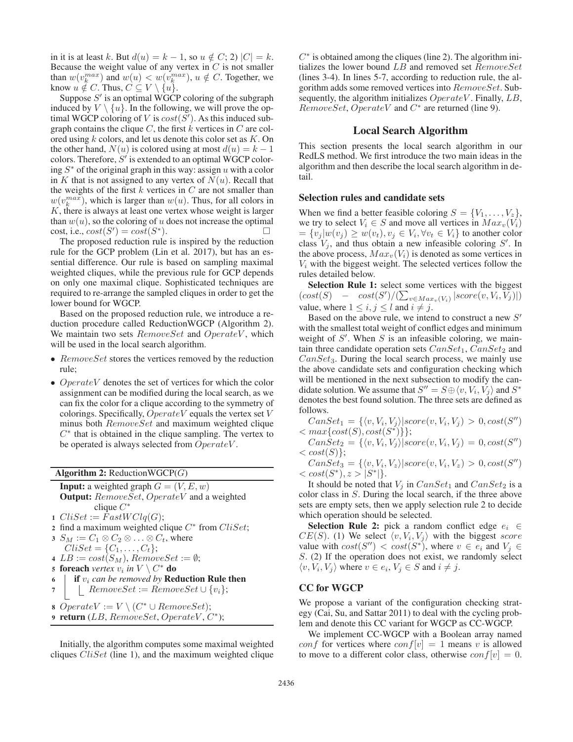in it is at least k. But  $d(u) = k - 1$ , so  $u \notin C$ ; 2)  $|C| = k$ . Because the weight value of any vertex in  $C$  is not smaller than  $w(v_k^{max})$  and  $w(u) < w(v_k^{max})$ ,  $u \notin C$ . Together, we know  $u \notin C$ . Thus,  $C \subseteq V \setminus \{u\}$ .

Suppose  $S'$  is an optimal WGCP coloring of the subgraph induced by  $V \setminus \{u\}$ . In the following, we will prove the optimal WGCP coloring of V is  $cost(S')$ . As this induced subgraph contains the clique  $C$ , the first  $k$  vertices in  $C$  are colored using  $k$  colors, and let us denote this color set as  $K$ . On the other hand,  $N(u)$  is colored using at most  $d(u) = k - 1$ colors. Therefore,  $S'$  is extended to an optimal WGCP coloring  $S^*$  of the original graph in this way: assign u with a color in K that is not assigned to any vertex of  $N(u)$ . Recall that the weights of the first  $k$  vertices in  $C$  are not smaller than  $w(v_k^{max})$ , which is larger than  $w(u)$ . Thus, for all colors in  $K$ , there is always at least one vertex whose weight is larger than  $w(u)$ , so the coloring of u does not increase the optimal cost, i.e.,  $cost(S') = cost(S^*)$ .

The proposed reduction rule is inspired by the reduction rule for the GCP problem (Lin et al. 2017), but has an essential difference. Our rule is based on sampling maximal weighted cliques, while the previous rule for GCP depends on only one maximal clique. Sophisticated techniques are required to re-arrange the sampled cliques in order to get the lower bound for WGCP.

Based on the proposed reduction rule, we introduce a reduction procedure called ReductionWGCP (Algorithm 2). We maintain two sets  $RemoveSet$  and  $OperateV$ , which will be used in the local search algorithm.

- RemoveSet stores the vertices removed by the reduction rule;
- OperateV denotes the set of vertices for which the color assignment can be modified during the local search, as we can fix the color for a clique according to the symmetry of colorings. Specifically,  $Operator$  equals the vertex set  $V$ minus both  $RemoveSet$  and maximum weighted clique  $C^*$  that is obtained in the clique sampling. The vertex to be operated is always selected from  $Operator$ .

Algorithm  $2$ : ReductionWGCP $(G)$ 

**Input:** a weighted graph  $G = (V, E, w)$ **Output:** RemoveSet, OperateV and a weighted clique  $C^*$ 1  $CliSet := FastWClq(G);$ 

2 find a maximum weighted clique  $C^*$  from *CliSet*;<br>3  $S_M := C_1 \otimes C_2 \otimes \ldots \otimes C_t$ , where  $\Lambda := C_1 \otimes C_2 \otimes \ldots \otimes C_t$ , where

$$
\sigma_M := \sigma_1 \otimes \sigma_2 \otimes \ldots \otimes \sigma_t,
$$

 $CliSet = \{C_1, ..., C_t\};$ 4  $LB := cost(S_M)$ ,  $RemoveSet := \emptyset$ ;

- 5 **foreach** *vertex*  $v_i$  *in*  $V \setminus C^*$  **do**
- $\mathfrak{g}$  if  $v_i$  *can be removed by* **Reduction Rule then**
- 7 | RemoveSet := RemoveSet  $\cup \{v_i\};$
- 8 OperateV :=  $V \setminus (C^* \cup RemoveSet);$
- 9 return  $(LB, RemoveSet, OperateV, C^*)$ ;

Initially, the algorithm computes some maximal weighted cliques  $CliSet$  (line 1), and the maximum weighted clique  $C^*$  is obtained among the cliques (line 2). The algorithm initializes the lower bound LB and removed set  $RemoveSet$ (lines 3-4). In lines 5-7, according to reduction rule, the algorithm adds some removed vertices into RemoveSet. Subsequently, the algorithm initializes  $Operator$ . Finally,  $LB$ ,  $RemoveSet, OperateV$  and  $C^*$  are returned (line 9).

### Local Search Algorithm

This section presents the local search algorithm in our RedLS method. We first introduce the two main ideas in the algorithm and then describe the local search algorithm in detail.

#### Selection rules and candidate sets

When we find a better feasible coloring  $S = \{V_1, \ldots, V_z\},\$ we try to select  $V_i \in S$  and move all vertices in  $Max_v(V_i)$  $=\{v_j | w(v_j) \geq w(v_t), v_j \in V_i, \forall v_t \in V_i\}$  to another color class  $V_i$ , and thus obtain a new infeasible coloring  $S'$ . In the above process,  $Max_v(V_i)$  is denoted as some vertices in  $V_i$  with the biggest weight. The selected vertices follow the rules detailed below.

Selection Rule 1: select some vertices with the biggest  $(cost(S) - cost(S')/(\sum_{v \in Max_v(V_i)} |score(v, V_i, V_j)|)$ value, where  $1 \leq i, j \leq l$  and  $i \neq j$ .

Based on the above rule, we intend to construct a new  $S'$ with the smallest total weight of conflict edges and minimum weight of  $S'$ . When  $S$  is an infeasible coloring, we maintain three candidate operation sets  $CanSet_1, CanSet_2$  and  $CanSet_3$ . During the local search process, we mainly use the above candidate sets and configuration checking which will be mentioned in the next subsection to modify the candidate solution. We assume that  $S'' = S \oplus \langle v, V_i, V_j \rangle$  and  $S^*$ denotes the best found solution. The three sets are defined as follows.

 $CanSet_1 = \{ \langle v, V_i, V_j \rangle | score(v, V_i, V_j) > 0, cost(S'')\}$  $\langle max\{cost(S), cost(S^*)\}\rangle$ ;

- $CanSet_2 = \{\langle v, V_i, V_j \rangle | score(v, V_i, V_j) = 0, cost(S'')\}$  $\langle \text{cost}(S) \rangle$ ;
- $CanSet_3 = \{ \langle v, V_i, V_z \rangle | score(v, V_i, V_z) > 0, cost(S'')\}$  $< \text{cost}(S^*), z > |S^*|$ .

It should be noted that  $V_j$  in  $CanSet_1$  and  $CanSet_2$  is a color class in S. During the local search, if the three above sets are empty sets, then we apply selection rule 2 to decide which operation should be selected.

**Selection Rule 2:** pick a random conflict edge  $e_i \in$  $CE(S)$ . (1) We select  $\langle v, V_i, V_j \rangle$  with the biggest score value with  $cost(S'') < cost(S^*)$ , where  $v \in e_i$  and  $V_j \in$ S. (2) If the operation does not exist, we randomly select  $\langle v, V_i, V_j \rangle$  where  $v \in e_i, V_j \in S$  and  $i \neq j$ .

# CC for WGCP

We propose a variant of the configuration checking strategy (Cai, Su, and Sattar 2011) to deal with the cycling problem and denote this CC variant for WGCP as CC-WGCP.

We implement CC-WGCP with a Boolean array named conf for vertices where  $conf[v]=1$  means v is allowed to move to a different color class, otherwise  $conf[v]=0$ .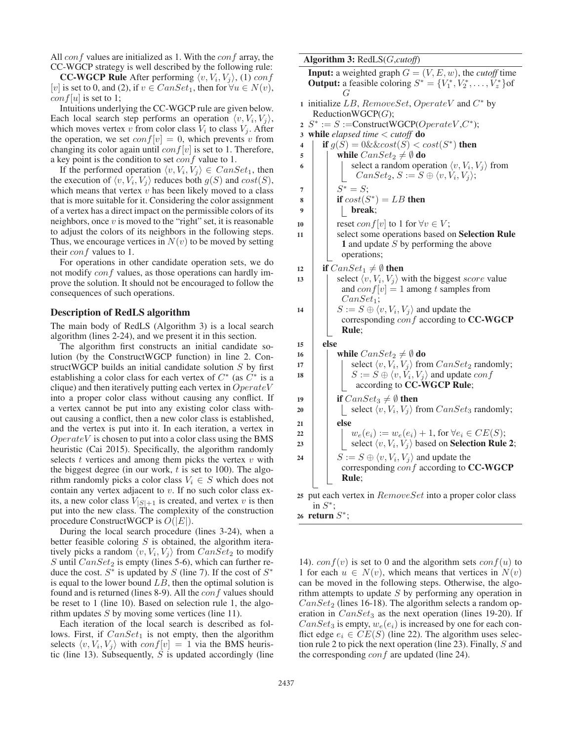All conf values are initialized as 1. With the conf array, the CC-WGCP strategy is well described by the following rule:

**CC-WGCP Rule** After performing  $\langle v, V_i, V_j \rangle$ , (1) conf [v] is set to 0, and (2), if  $v \in CanSet_1$ , then for  $\forall u \in N(v)$ ,  $\text{conf}[u]$  is set to 1;

Intuitions underlying the CC-WGCP rule are given below. Each local search step performs an operation  $\langle v, V_i, V_j \rangle$ , which moves vertex v from color class  $V_i$  to class  $V_j$ . After the operation, we set  $conf[v]=0$ , which prevents v from changing its color again until  $conf[v]$  is set to 1. Therefore, a key point is the condition to set  $\text{conf}$  value to 1.

If the performed operation  $\langle v, V_i, V_j \rangle \in \text{CanSet}_1$ , then the execution of  $\langle v, V_i, V_j \rangle$  reduces both  $g(S)$  and  $cost(S)$ , which means that vertex  $v$  has been likely moved to a class that is more suitable for it. Considering the color assignment of a vertex has a direct impact on the permissible colors of its neighbors, once  $v$  is moved to the "right" set, it is reasonable to adjust the colors of its neighbors in the following steps. Thus, we encourage vertices in  $N(v)$  to be moved by setting their *conf* values to 1.

For operations in other candidate operation sets, we do not modify *conf* values, as those operations can hardly improve the solution. It should not be encouraged to follow the consequences of such operations.

#### Description of RedLS algorithm

The main body of RedLS (Algorithm 3) is a local search algorithm (lines 2-24), and we present it in this section.

The algorithm first constructs an initial candidate solution (by the ConstructWGCP function) in line 2. ConstructWGCP builds an initial candidate solution S by first establishing a color class for each vertex of  $C^*$  (as  $C^*$  is a clique) and then iteratively putting each vertex in  $Operator$ into a proper color class without causing any conflict. If a vertex cannot be put into any existing color class without causing a conflict, then a new color class is established, and the vertex is put into it. In each iteration, a vertex in  $Operator$  is chosen to put into a color class using the BMS heuristic (Cai 2015). Specifically, the algorithm randomly selects  $t$  vertices and among them picks the vertex  $v$  with the biggest degree (in our work,  $t$  is set to 100). The algorithm randomly picks a color class  $V_i \in S$  which does not contain any vertex adjacent to v. If no such color class exits, a new color class  $V_{|S|+1}$  is created, and vertex v is then put into the new class. The complexity of the construction procedure ConstructWGCP is  $O(|E|)$ .

During the local search procedure (lines 3-24), when a better feasible coloring  $S$  is obtained, the algorithm iteratively picks a random  $\langle v, V_i, V_j \rangle$  from  $CanSet_2$  to modify S until  $CanSet_2$  is empty (lines 5-6), which can further reduce the cost.  $S^*$  is updated by S (line 7). If the cost of  $S^*$ is equal to the lower bound  $LB$ , then the optimal solution is found and is returned (lines 8-9). All the  $\text{conf}$  values should be reset to 1 (line 10). Based on selection rule 1, the algorithm updates  $S$  by moving some vertices (line 11).

Each iteration of the local search is described as follows. First, if  $CanSet_1$  is not empty, then the algorithm selects  $\langle v, V_i, V_j \rangle$  with  $conf[v]=1$  via the BMS heuristic (line 13). Subsequently,  $S$  is updated accordingly (line

|                | Algorithm 3: RedLS(G,cutoff)                                                                                                                            |  |  |  |  |  |  |  |
|----------------|---------------------------------------------------------------------------------------------------------------------------------------------------------|--|--|--|--|--|--|--|
|                | <b>Input:</b> a weighted graph $G = (V, E, w)$ , the <i>cutoff</i> time<br><b>Output:</b> a feasible coloring $S^* = \{V_1^*, V_2^*, \dots, V_z^*\}$ of |  |  |  |  |  |  |  |
|                | G                                                                                                                                                       |  |  |  |  |  |  |  |
| $\mathbf{1}$   | initialize LB, $RemoveSet$ , $Operator$ and $C^*$ by                                                                                                    |  |  |  |  |  |  |  |
|                | ReductionWGCP(G);                                                                                                                                       |  |  |  |  |  |  |  |
| $\overline{2}$ | $S^* := S := \text{ConstructWGCP}(Operator, C^*)$ ;                                                                                                     |  |  |  |  |  |  |  |
| 3              | while elapsed time $\lt$ cutoff do                                                                                                                      |  |  |  |  |  |  |  |
| 4              | if $g(S) = 0$ &&cost $(S) < cost(S^*)$ then                                                                                                             |  |  |  |  |  |  |  |
| 5              | while $CanSet_2 \neq \emptyset$ do                                                                                                                      |  |  |  |  |  |  |  |
| 6              | select a random operation $\langle v, V_i, V_j \rangle$ from<br>$CanSet_2, S := S \oplus \langle v, V_i, V_j \rangle;$                                  |  |  |  |  |  |  |  |
| 7              | $S^* = S;$                                                                                                                                              |  |  |  |  |  |  |  |
| 8              | if $cost(S^*) = LB$ then                                                                                                                                |  |  |  |  |  |  |  |
| 9              | break;                                                                                                                                                  |  |  |  |  |  |  |  |
| 10             | reset <i>conf</i> [ <i>v</i> ] to 1 for $\forall v \in V$ ;                                                                                             |  |  |  |  |  |  |  |
| 11             | select some operations based on Selection Rule                                                                                                          |  |  |  |  |  |  |  |
|                | 1 and update $S$ by performing the above                                                                                                                |  |  |  |  |  |  |  |
|                | operations;                                                                                                                                             |  |  |  |  |  |  |  |
| 12             | if $CanSet_1 \neq \emptyset$ then                                                                                                                       |  |  |  |  |  |  |  |
| 13             | select $\langle v, V_i, V_j \rangle$ with the biggest score value                                                                                       |  |  |  |  |  |  |  |
|                | and $conf[v] = 1$ among t samples from                                                                                                                  |  |  |  |  |  |  |  |
|                | $CanSet_1;$                                                                                                                                             |  |  |  |  |  |  |  |
| 14             | $S := S \oplus \langle v, V_i, V_j \rangle$ and update the                                                                                              |  |  |  |  |  |  |  |
|                | corresponding conf according to CC-WGCP<br>Rule;                                                                                                        |  |  |  |  |  |  |  |
|                |                                                                                                                                                         |  |  |  |  |  |  |  |
| 15             | else                                                                                                                                                    |  |  |  |  |  |  |  |
| 16             | while $CanSet_2 \neq \emptyset$ do                                                                                                                      |  |  |  |  |  |  |  |
| 17             | select $\langle v, V_i, V_j \rangle$ from $CanSet_2$ randomly;                                                                                          |  |  |  |  |  |  |  |
| 18             | $S := S \oplus \langle v, V_i, V_j \rangle$ and update $conf$<br>according to CC-WGCP Rule;                                                             |  |  |  |  |  |  |  |
| 19             | if $CanSet_3 \neq \emptyset$ then                                                                                                                       |  |  |  |  |  |  |  |
| 20             | select $\langle v, V_i, V_j \rangle$ from $CanSet_3$ randomly;                                                                                          |  |  |  |  |  |  |  |
| 21             | else                                                                                                                                                    |  |  |  |  |  |  |  |
| 22             | $w_e(e_i) := w_e(e_i) + 1$ , for $\forall e_i \in CE(S)$ ;                                                                                              |  |  |  |  |  |  |  |
| 23             | select $\langle v, V_i, V_j \rangle$ based on <b>Selection Rule 2</b> ;                                                                                 |  |  |  |  |  |  |  |
| 24             | $S := S \oplus \langle v, V_i, V_j \rangle$ and update the                                                                                              |  |  |  |  |  |  |  |
|                | corresponding conf according to CC-WGCP                                                                                                                 |  |  |  |  |  |  |  |
|                | Rule;                                                                                                                                                   |  |  |  |  |  |  |  |
|                | 25 put each vertex in RemoveSet into a proper color class                                                                                               |  |  |  |  |  |  |  |
|                | in $S^*$ ;                                                                                                                                              |  |  |  |  |  |  |  |
|                | 26 return $S^*$ ;                                                                                                                                       |  |  |  |  |  |  |  |

14).  $conf(v)$  is set to 0 and the algorithm sets  $conf(u)$  to 1 for each  $u \in N(v)$ , which means that vertices in  $N(v)$ can be moved in the following steps. Otherwise, the algorithm attempts to update  $S$  by performing any operation in  $CanSet_2$  (lines 16-18). The algorithm selects a random operation in  $CanSet_3$  as the next operation (lines 19-20). If  $CanSet_3$  is empty,  $w_e(e_i)$  is increased by one for each conflict edge  $e_i \in CE(S)$  (line 22). The algorithm uses selection rule 2 to pick the next operation (line 23). Finally, S and the corresponding  $conf$  are updated (line 24).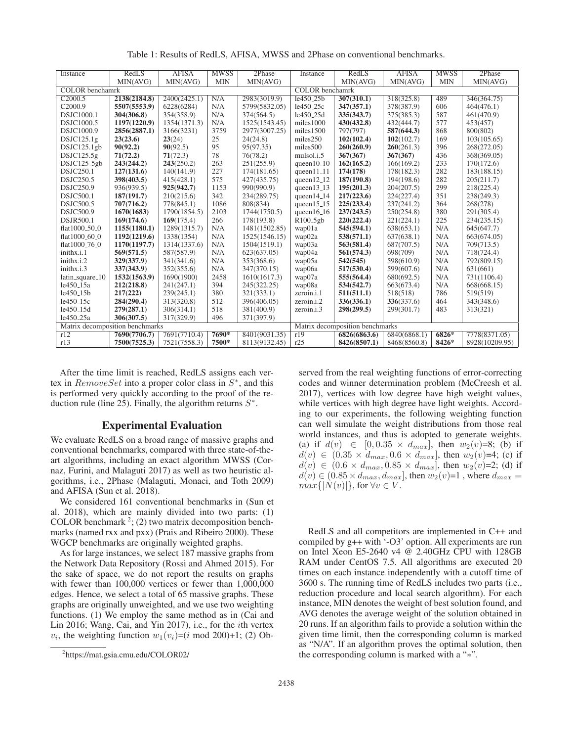| Instance                        | RedLS        | <b>AFISA</b> | <b>MWSS</b> | 2Phase                          | Instance               | RedLS        | <b>AFISA</b> | <b>MWSS</b> | 2Phase         |
|---------------------------------|--------------|--------------|-------------|---------------------------------|------------------------|--------------|--------------|-------------|----------------|
|                                 | MIN(AVG)     | MIN(AVG)     | <b>MIN</b>  | MIN(AVG)                        |                        | MIN(AVG)     | MIN(AVG)     | <b>MIN</b>  | MIN(AVG)       |
| <b>COLOR</b> benchamrk          |              |              |             |                                 | <b>COLOR</b> benchamrk |              |              |             |                |
| C <sub>2000.5</sub>             | 2138(2184.8) | 2400(2425.1) | N/A         | 2983(3019.9)                    | le450 <sub>-25b</sub>  | 307(310.1)   | 318(325.8)   | 489         | 346(364.75)    |
| C <sub>2000.9</sub>             | 5507(5553.9) | 6228(6284)   | N/A         | 5799(5832.05)                   | le450 <sub>-25c</sub>  | 347(357.1)   | 378(387.9)   | 606         | 464(476.1)     |
| DSJC1000.1                      | 304(306.8)   | 354(358.9)   | N/A         | 374(564.5)                      | le450_25d              | 335(343.7)   | 375(385.3)   | 587         | 461(470.9)     |
| DSJC1000.5                      | 1197(1220.9) | 1354(1371.3) | N/A         | 1525(1543.45)                   | miles1000              | 430(432.8)   | 432(444.7)   | 577         | 453(457)       |
| DSJC1000.9                      | 2856(2887.1) | 3166(3231)   | 3759        | 2977(3007.25)                   | miles1500              | 797(797)     | 587(644.3)   | 868         | 800(802)       |
| DSJCl <sub>25.1g</sub>          | 23(23.6)     | 23(24)       | 25          | 24(24.8)                        | miles250               | 102(102.4)   | 102(102.7)   | 169         | 103(105.65)    |
| DSJCl25.1gb                     | 90(92.2)     | 90(92.5)     | 95          | 95(97.35)                       | miles500               | 260(260.9)   | 260(261.3)   | 396         | 268(272.05)    |
| DSJCl25.5g                      | 71(72.2)     | 71(72.3)     | 78          | 76(78.2)                        | mulsol.i.5             | 367(367)     | 367(367)     | 436         | 368(369.05)    |
| $DSJC125_5gb$                   | 243(244.2)   | 243(250.2)   | 263         | 251(255.9)                      | queen $10_{-}10$       | 162(165.2)   | 166(169.2)   | 233         | 170(172.6)     |
| <b>DSJC250.1</b>                | 127(131.6)   | 140(141.9)   | 227         | 174(181.65)                     | queen $11-11$          | 174(178)     | 178(182.3)   | 282         | 183(188.15)    |
| <b>DSJC250.5</b>                | 398(403.5)   | 415(428.1)   | 575         | 427(435.75)                     | queen $12-12$          | 187(190.8)   | 194(198.6)   | 282         | 205(211.7)     |
| DSJC250.9                       | 936(939.5)   | 925(942.7)   | 1153        | 990(990.9)                      | queen $13-13$          | 195(201.3)   | 204(207.5)   | 299         | 218(225.4)     |
| <b>DSJC500.1</b>                | 187(191.7)   | 210(215.6)   | 342         | 234(289.75)                     | queen $14-14$          | 217(223.6)   | 224(227.4)   | 351         | 238(249.3)     |
| DSJC500.5                       | 707(716.2)   | 778(845.1)   | 1086        | 808(834)                        | queen $15-15$          | 225(233.4)   | 237(241.2)   | 364         | 268(278)       |
| <b>DSJC500.9</b>                | 1670(1683)   | 1790(1854.5) | 2103        | 1744(1750.5)                    | queen $16-16$          | 237(243.5)   | 250(254.8)   | 380         | 291(305.4)     |
| DSJR500.1                       | 169(174.6)   | 169(175.4)   | 266         | 178(193.8)                      | R100_5gb               | 220(222.4)   | 221(224.1)   | 225         | 234(235.15)    |
| flat1000_50_0                   | 1155(1180.1) | 1289(1315.7) | N/A         | 1481(1502.85)                   | wap01a                 | 545(594.1)   | 638(653.1)   | N/A         | 645(647.7)     |
| flat1000 <sub>-60-0</sub>       | 1192(1219.6) | 1338(1354)   | N/A         | 1525(1546.15)                   | wap02a                 | 538(571.1)   | 637(638.1)   | N/A         | 663(674.05)    |
| flat1000 <sub>-76-0</sub>       | 1170(1197.7) | 1314(1337.6) | N/A         | 1504(1519.1)                    | wap03a                 | 563(581.4)   | 687(707.5)   | N/A         | 709(713.5)     |
| inithx.i.1                      | 569(571.5)   | 587(587.9)   | N/A         | 623(637.05)                     | wap04a                 | 561(574.3)   | 698(709)     | N/A         | 718(724.4)     |
| inithx.i.2                      | 329(337.9)   | 341(341.6)   | N/A         | 353(368.6)                      | wap05a                 | 542(545)     | 598(610.9)   | N/A         | 792(809.15)    |
| inithx.i.3                      | 337(343.9)   | 352(355.6)   | N/A         | 347(370.15)                     | wap06a                 | 517(530.4)   | 599(607.6)   | N/A         | 631(661)       |
| latin_square_10                 | 1532(1563.9) | 1690(1900)   | 2458        | 1610(1617.3)                    | wap07a                 | 555(564.4)   | 680(692.5)   | N/A         | 731(1106.4)    |
| le450.15a                       | 212(218.8)   | 241(247.1)   | 394         | 245(322.25)                     | wap08a                 | 534(542.7)   | 663(673.4)   | N/A         | 668(668.15)    |
| le450 <sub>-15b</sub>           | 217(222)     | 239(245.1)   | 380         | 321(333.1)                      | zeroin.i.1             | 511(511.1)   | 518(518)     | 786         | 519(519)       |
| le450 <sub>-15c</sub>           | 284(290.4)   | 313(320.8)   | 512         | 396(406.05)                     | zeroin.i.2             | 336(336.1)   | 336(337.6)   | 464         | 343(348.6)     |
| le450 <sub>-15d</sub>           | 279(287.1)   | 306(314.1)   | 518         | 381(400.9)                      | zeroin.i.3             | 298(299.5)   | 299(301.7)   | 483         | 313(321)       |
| le450_25a                       | 306(307.5)   | 317(329.9)   | 496         | 371(397.9)                      |                        |              |              |             |                |
| Matrix decomposition benchmarks |              |              |             | Matrix decomposition benchmarks |                        |              |              |             |                |
| r12                             | 7690(7706.7) | 7691(7710.4) | $7690*$     | 8401(9031.35)                   | r19                    | 6826(6863.6) | 6840(6868.1) | $6826*$     | 7778(8371.05)  |
| r13                             | 7500(7525.3) | 7521(7558.3) | 7500*       | 8113(9132.45)                   | r25                    | 8426(8507.1) | 8468(8560.8) | 8426*       | 8928(10209.95) |

Table 1: Results of RedLS, AFISA, MWSS and 2Phase on conventional benchmarks.

After the time limit is reached, RedLS assigns each vertex in  $RemoveSet$  into a proper color class in  $S^*$ , and this is performed very quickly according to the proof of the reduction rule (line 25). Finally, the algorithm returns  $S^*$ .

### Experimental Evaluation

We evaluate RedLS on a broad range of massive graphs and conventional benchmarks, compared with three state-of-theart algorithms, including an exact algorithm MWSS (Cornaz, Furini, and Malaguti 2017) as well as two heuristic algorithms, i.e., 2Phase (Malaguti, Monaci, and Toth 2009) and AFISA (Sun et al. 2018).

We considered 161 conventional benchmarks in (Sun et al. 2018), which are mainly divided into two parts: (1) COLOR benchmark  $2$ ; (2) two matrix decomposition benchmarks (named rxx and pxx) (Prais and Ribeiro 2000). These WGCP benchmarks are originally weighted graphs.

As for large instances, we select 187 massive graphs from the Network Data Repository (Rossi and Ahmed 2015). For the sake of space, we do not report the results on graphs with fewer than 100,000 vertices or fewer than 1,000,000 edges. Hence, we select a total of 65 massive graphs. These graphs are originally unweighted, and we use two weighting functions. (1) We employ the same method as in (Cai and Lin 2016; Wang, Cai, and Yin 2017), i.e., for the ith vertex  $v_i$ , the weighting function  $w_1(v_i)=(i \mod 200)+1$ ; (2) Ob-

served from the real weighting functions of error-correcting codes and winner determination problem (McCreesh et al. 2017), vertices with low degree have high weight values, while vertices with high degree have light weights. According to our experiments, the following weighting function can well simulate the weight distributions from those real world instances, and thus is adopted to generate weights. (a) if  $d(v) \in [0, 0.35 \times d_{max}]$ , then  $w_2(v)=8$ ; (b) if  $d(v) \in (0.35 \times d_{max}, 0.6 \times d_{max}]$ , then  $w_2(v)=4$ ; (c) if  $d(v) \in (0.6 \times d_{max}, 0.85 \times d_{max}]$ , then  $w_2(v)=2$ ; (d) if  $d(v) \in (0.85 \times d_{max}, d_{max}]$  , then  $w_2(v)$  =1 , where  $d_{max} =$  $max\{|N(v)|\}$ , for  $\forall v \in V$ .

RedLS and all competitors are implemented in C++ and compiled by g++ with '-O3' option. All experiments are run on Intel Xeon E5-2640 v4 @ 2.40GHz CPU with 128GB RAM under CentOS 7.5. All algorithms are executed 20 times on each instance independently with a cutoff time of 3600 s. The running time of RedLS includes two parts (i.e., reduction procedure and local search algorithm). For each instance, MIN denotes the weight of best solution found, and AVG denotes the average weight of the solution obtained in 20 runs. If an algorithm fails to provide a solution within the given time limit, then the corresponding column is marked as "N/A". If an algorithm proves the optimal solution, then the corresponding column is marked with a "∗".

<sup>2</sup> https://mat.gsia.cmu.edu/COLOR02/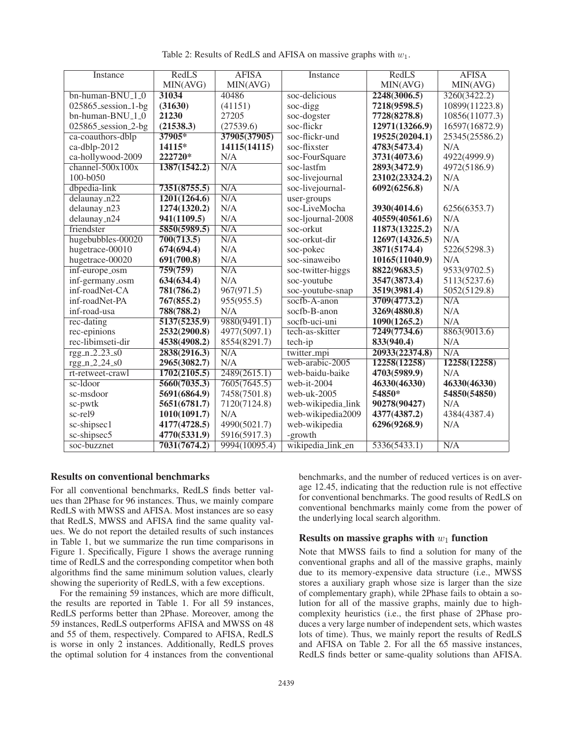| Instance                        | RedLS        | <b>AFISA</b>  | Instance           | RedLS          | <b>AFISA</b>   |
|---------------------------------|--------------|---------------|--------------------|----------------|----------------|
|                                 | MIN(AVG)     | MIN(AVG)      |                    | MIN(AVG)       | MIN(AVG)       |
| $bn$ -human-BNU <sub>-1-0</sub> | 31034        | 40486         | soc-delicious      | 2248(3006.5)   | 3260(3422.2)   |
| $025865$ _session_1-bg          | (31630)      | (41151)       | soc-digg           | 7218(9598.5)   | 10899(11223.8) |
| bn-human-BNU <sub>-1-0</sub>    | 21230        | 27205         | soc-dogster        | 7728(8278.8)   | 10856(11077.3) |
| 025865_session_2-bg             | (21538.3)    | (27539.6)     | soc-flickr         | 12971(13266.9) | 16597(16872.9) |
| ca-coauthors-dblp               | 37905*       | 37905(37905)  | soc-flickr-und     | 19525(20204.1) | 25345(25586.2) |
| ca-dblp-2012                    | 14115*       | 14115(14115)  | soc-flixster       | 4783(5473.4)   | N/A            |
| ca-hollywood-2009               | 222720*      | N/A           | soc-FourSquare     | 3731(4073.6)   | 4922(4999.9)   |
| channel- $500x100x$             | 1387(1542.2) | N/A           | soc-lastfm         | 2893(3472.9)   | 4972(5186.9)   |
| 100-b050                        |              |               | soc-livejournal    | 23102(23324.2) | N/A            |
| dbpedia-link                    | 7351(8755.5) | N/A           | soc-livejournal-   | 6092(6256.8)   | N/A            |
| $delaunay_n22$                  | 1201(1264.6) | N/A           | user-groups        |                |                |
| delaunay_n23                    | 1274(1320.2) | N/A           | soc-LiveMocha      | 3930(4014.6)   | 6256(6353.7)   |
| delaunay_n24                    | 941(1109.5)  | N/A           | soc-ljournal-2008  | 40559(40561.6) | N/A            |
| friendster                      | 5850(5989.5) | N/A           | soc-orkut          | 11873(13225.2) | N/A            |
| hugebubbles-00020               | 700(713.5)   | N/A           | soc-orkut-dir      | 12697(14326.5) | N/A            |
| hugetrace-00010                 | 674(694.4)   | N/A           | soc-pokec          | 3871(5174.4)   | 5226(5298.3)   |
| hugetrace-00020                 | 691(700.8)   | N/A           | soc-sinaweibo      | 10165(11040.9) | N/A            |
| inf-europe_osm                  | 759(759)     | N/A           | soc-twitter-higgs  | 8822(9683.5)   | 9533(9702.5)   |
| inf-germany_osm                 | 634(634.4)   | N/A           | soc-youtube        | 3547(3873.4)   | 5113(5237.6)   |
| inf-roadNet-CA                  | 781(786.2)   | 967(971.5)    | soc-youtube-snap   | 3519(3981.4)   | 5052(5129.8)   |
| inf-roadNet-PA                  | 767(855.2)   | 955(955.5)    | socfb-A-anon       | 3709(4773.2)   | N/A            |
| inf-road-usa                    | 788(788.2)   | N/A           | socfb-B-anon       | 3269(4880.8)   | N/A            |
| rec-dating                      | 5137(5235.9) | 9880(9491.1)  | socfb-uci-uni      | 1090(1265.2)   | N/A            |
| rec-epinions                    | 2532(2900.8) | 4977(5097.1)  | tech-as-skitter    | 7249(7734.6)   | 8863(9013.6)   |
| rec-libimseti-dir               | 4538(4908.2) | 8554(8291.7)  | tech-ip            | 833(940.4)     | N/A            |
| $rgg_n_2_2_3_50$                | 2838(2916.3) | N/A           | twitter_mpi        | 20933(22374.8) | N/A            |
| rgg_n_2_24_s0                   | 2965(3082.7) | N/A           | web-arabic-2005    | 12258(12258)   | 12258(12258)   |
| rt-retweet-crawl                | 1702(2105.5) | 2489(2615.1)  | web-baidu-baike    | 4703(5989.9)   | N/A            |
| $sc$ -Idoor                     | 5660(7035.3) | 7605(7645.5)  | web-it-2004        | 46330(46330)   | 46330(46330)   |
| sc-msdoor                       | 5691(6864.9) | 7458(7501.8)  | web-uk-2005        | 54850*         | 54850(54850)   |
| sc-pwtk                         | 5651(6781.7) | 7120(7124.8)  | web-wikipedia_link | 90278(90427)   | N/A            |
| sc-rel9                         | 1010(1091.7) | N/A           | web-wikipedia2009  | 4377(4387.2)   | 4384(4387.4)   |
| sc-shipsec1                     | 4177(4728.5) | 4990(5021.7)  | web-wikipedia      | 6296(9268.9)   | N/A            |
| sc-shipsec5                     | 4770(5331.9) | 5916(5917.3)  | -growth            |                |                |
| soc-buzznet                     | 7031(7674.2) | 9994(10095.4) | wikipedia_link_en  | 5336(5433.1)   | N/A            |

Table 2: Results of RedLS and AFISA on massive graphs with  $w_1$ .

### Results on conventional benchmarks

For all conventional benchmarks, RedLS finds better values than 2Phase for 96 instances. Thus, we mainly compare RedLS with MWSS and AFISA. Most instances are so easy that RedLS, MWSS and AFISA find the same quality values. We do not report the detailed results of such instances in Table 1, but we summarize the run time comparisons in Figure 1. Specifically, Figure 1 shows the average running time of RedLS and the corresponding competitor when both algorithms find the same minimum solution values, clearly showing the superiority of RedLS, with a few exceptions.

For the remaining 59 instances, which are more difficult, the results are reported in Table 1. For all 59 instances, RedLS performs better than 2Phase. Moreover, among the 59 instances, RedLS outperforms AFISA and MWSS on 48 and 55 of them, respectively. Compared to AFISA, RedLS is worse in only 2 instances. Additionally, RedLS proves the optimal solution for 4 instances from the conventional

benchmarks, and the number of reduced vertices is on average 12.45, indicating that the reduction rule is not effective for conventional benchmarks. The good results of RedLS on conventional benchmarks mainly come from the power of the underlying local search algorithm.

### Results on massive graphs with  $w_1$  function

Note that MWSS fails to find a solution for many of the conventional graphs and all of the massive graphs, mainly due to its memory-expensive data structure (i.e., MWSS stores a auxiliary graph whose size is larger than the size of complementary graph), while 2Phase fails to obtain a solution for all of the massive graphs, mainly due to highcomplexity heuristics (i.e., the first phase of 2Phase produces a very large number of independent sets, which wastes lots of time). Thus, we mainly report the results of RedLS and AFISA on Table 2. For all the 65 massive instances, RedLS finds better or same-quality solutions than AFISA.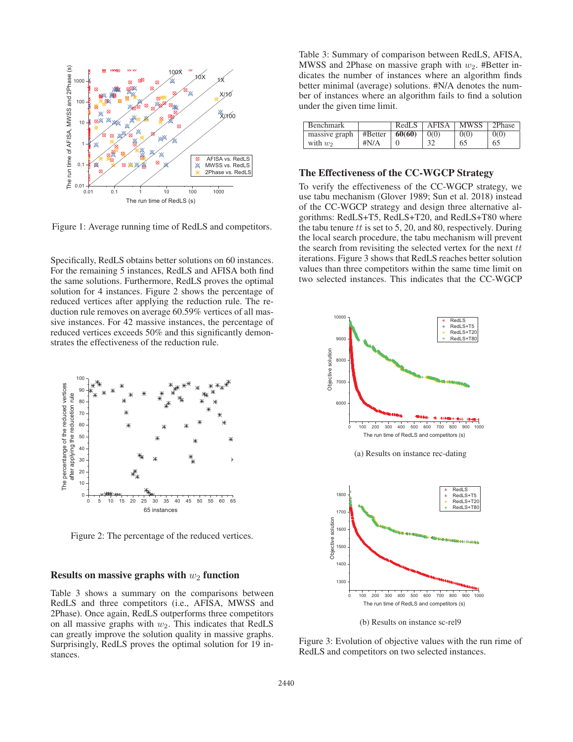

Figure 1: Average running time of RedLS and competitors.

Specifically, RedLS obtains better solutions on 60 instances. For the remaining 5 instances, RedLS and AFISA both find the same solutions. Furthermore, RedLS proves the optimal solution for 4 instances. Figure 2 shows the percentage of reduced vertices after applying the reduction rule. The reduction rule removes on average 60.59% vertices of all massive instances. For 42 massive instances, the percentage of reduced vertices exceeds 50% and this significantly demonstrates the effectiveness of the reduction rule.



Figure 2: The percentage of the reduced vertices.

#### Results on massive graphs with  $w_2$  function

Table 3 shows a summary on the comparisons between RedLS and three competitors (i.e., AFISA, MWSS and 2Phase). Once again, RedLS outperforms three competitors on all massive graphs with  $w_2$ . This indicates that RedLS can greatly improve the solution quality in massive graphs. Surprisingly, RedLS proves the optimal solution for 19 instances.

Table 3: Summary of comparison between RedLS, AFISA, MWSS and 2Phase on massive graph with  $w_2$ . #Better indicates the number of instances where an algorithm finds better minimal (average) solutions. #N/A denotes the number of instances where an algorithm fails to find a solution under the given time limit.

| <b>Benchmark</b>                           |              | RedLS | AFISA | <b>MWSS</b> | 2Phase |
|--------------------------------------------|--------------|-------|-------|-------------|--------|
| massive graph   #Better $\frac{1}{60(60)}$ |              |       | 0(0)  | 0(0)        | 0(0)   |
| with $w_2$                                 | $\sharp N/A$ |       |       | 65          | 65     |

### The Effectiveness of the CC-WGCP Strategy

To verify the effectiveness of the CC-WGCP strategy, we use tabu mechanism (Glover 1989; Sun et al. 2018) instead of the CC-WGCP strategy and design three alternative algorithms: RedLS+T5, RedLS+T20, and RedLS+T80 where the tabu tenure  $tt$  is set to 5, 20, and 80, respectively. During the local search procedure, the tabu mechanism will prevent the search from revisiting the selected vertex for the next  $tt$ iterations. Figure 3 shows that RedLS reaches better solution values than three competitors within the same time limit on two selected instances. This indicates that the CC-WGCP



Figure 3: Evolution of objective values with the run rime of RedLS and competitors on two selected instances.